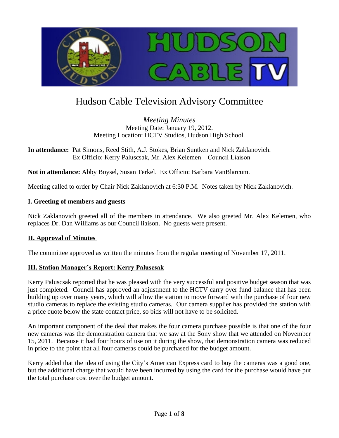

# Hudson Cable Television Advisory Committee

*Meeting Minutes* Meeting Date: January 19, 2012. Meeting Location: HCTV Studios, Hudson High School.

**In attendance:** Pat Simons, Reed Stith, A.J. Stokes, Brian Suntken and Nick Zaklanovich. Ex Officio: Kerry Paluscsak, Mr. Alex Kelemen – Council Liaison

**Not in attendance:** Abby Boysel, Susan Terkel. Ex Officio: Barbara VanBlarcum.

Meeting called to order by Chair Nick Zaklanovich at 6:30 P.M. Notes taken by Nick Zaklanovich.

### **I. Greeting of members and guests**

Nick Zaklanovich greeted all of the members in attendance. We also greeted Mr. Alex Kelemen, who replaces Dr. Dan Williams as our Council liaison. No guests were present.

### **II. Approval of Minutes**

The committee approved as written the minutes from the regular meeting of November 17, 2011.

### **III. Station Manager's Report: Kerry Paluscsak**

Kerry Paluscsak reported that he was pleased with the very successful and positive budget season that was just completed. Council has approved an adjustment to the HCTV carry over fund balance that has been building up over many years, which will allow the station to move forward with the purchase of four new studio cameras to replace the existing studio cameras. Our camera supplier has provided the station with a price quote below the state contact price, so bids will not have to be solicited.

An important component of the deal that makes the four camera purchase possible is that one of the four new cameras was the demonstration camera that we saw at the Sony show that we attended on November 15, 2011. Because it had four hours of use on it during the show, that demonstration camera was reduced in price to the point that all four cameras could be purchased for the budget amount.

Kerry added that the idea of using the City's American Express card to buy the cameras was a good one, but the additional charge that would have been incurred by using the card for the purchase would have put the total purchase cost over the budget amount.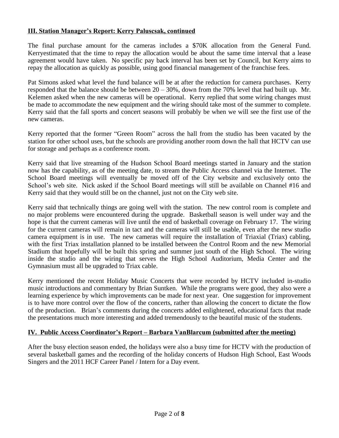# **III. Station Manager's Report: Kerry Paluscsak, continued**

The final purchase amount for the cameras includes a \$70K allocation from the General Fund. Kerryestimated that the time to repay the allocation would be about the same time interval that a lease agreement would have taken. No specific pay back interval has been set by Council, but Kerry aims to repay the allocation as quickly as possible, using good financial management of the franchise fees.

Pat Simons asked what level the fund balance will be at after the reduction for camera purchases. Kerry responded that the balance should be between  $20 - 30\%$ , down from the 70% level that had built up. Mr. Kelemen asked when the new cameras will be operational. Kerry replied that some wiring changes must be made to accommodate the new equipment and the wiring should take most of the summer to complete. Kerry said that the fall sports and concert seasons will probably be when we will see the first use of the new cameras.

Kerry reported that the former "Green Room" across the hall from the studio has been vacated by the station for other school uses, but the schools are providing another room down the hall that HCTV can use for storage and perhaps as a conference room.

Kerry said that live streaming of the Hudson School Board meetings started in January and the station now has the capability, as of the meeting date, to stream the Public Access channel via the Internet. The School Board meetings will eventually be moved off of the City website and exclusively onto the School's web site. Nick asked if the School Board meetings will still be available on Channel #16 and Kerry said that they would still be on the channel, just not on the City web site.

Kerry said that technically things are going well with the station. The new control room is complete and no major problems were encountered during the upgrade. Basketball season is well under way and the hope is that the current cameras will live until the end of basketball coverage on February 17. The wiring for the current cameras will remain in tact and the cameras will still be usable, even after the new studio camera equipment is in use. The new cameras will require the installation of Triaxial (Triax) cabling, with the first Triax installation planned to be installed between the Control Room and the new Memorial Stadium that hopefully will be built this spring and summer just south of the High School. The wiring inside the studio and the wiring that serves the High School Auditorium, Media Center and the Gymnasium must all be upgraded to Triax cable.

Kerry mentioned the recent Holiday Music Concerts that were recorded by HCTV included in-studio music introductions and commentary by Brian Suntken. While the programs were good, they also were a learning experience by which improvements can be made for next year. One suggestion for improvement is to have more control over the flow of the concerts, rather than allowing the concert to dictate the flow of the production. Brian's comments during the concerts added enlightened, educational facts that made the presentations much more interesting and added tremendously to the beautiful music of the students.

## **IV. Public Access Coordinator's Report – Barbara VanBlarcum (submitted after the meeting)**

After the busy election season ended, the holidays were also a busy time for HCTV with the production of several basketball games and the recording of the holiday concerts of Hudson High School, East Woods Singers and the 2011 HCF Career Panel / Intern for a Day event.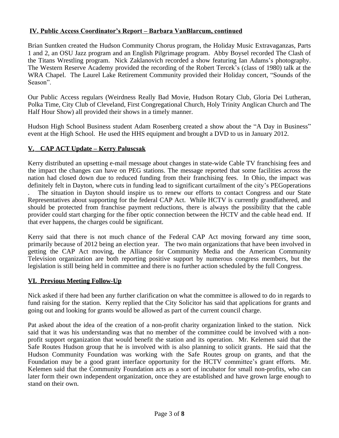# **IV. Public Access Coordinator's Report – Barbara VanBlarcum, continued**

Brian Suntken created the Hudson Community Chorus program, the Holiday Music Extravaganzas, Parts 1 and 2, an OSU Jazz program and an English Pilgrimage program. Abby Boysel recorded The Clash of the Titans Wrestling program. Nick Zaklanovich recorded a show featuring Ian Adams's photography. The Western Reserve Academy provided the recording of the Robert Tercek's (class of 1980) talk at the WRA Chapel. The Laurel Lake Retirement Community provided their Holiday concert, "Sounds of the Season".

Our Public Access regulars (Weirdness Really Bad Movie, Hudson Rotary Club, Gloria Dei Lutheran, Polka Time, City Club of Cleveland, First Congregational Church, Holy Trinity Anglican Church and The Half Hour Show) all provided their shows in a timely manner.

Hudson High School Business student Adam Rosenberg created a show about the "A Day in Business" event at the High School. He used the HHS equipment and brought a DVD to us in January 2012.

## **V. CAP ACT Update – Kerry Paluscsak**

Kerry distributed an upsetting e-mail message about changes in state-wide Cable TV franchising fees and the impact the changes can have on PEG stations. The message reported that some facilities across the nation had closed down due to reduced funding from their franchising fees. In Ohio, the impact was definitely felt in Dayton, where cuts in funding lead to significant curtailment of the city's PEGoperations

. The situation in Dayton should inspire us to renew our efforts to contact Congress and our State Representatives about supporting for the federal CAP Act. While HCTV is currently grandfathered, and should be protected from franchise payment reductions, there is always the possibility that the cable provider could start charging for the fiber optic connection between the HCTV and the cable head end. If that ever happens, the charges could be significant.

Kerry said that there is not much chance of the Federal CAP Act moving forward any time soon, primarily because of 2012 being an election year. The two main organizations that have been involved in getting the CAP Act moving, the Alliance for Community Media and the American Community Television organization are both reporting positive support by numerous congress members, but the legislation is still being held in committee and there is no further action scheduled by the full Congress.

## **VI. Previous Meeting Follow-Up**

Nick asked if there had been any further clarification on what the committee is allowed to do in regards to fund raising for the station. Kerry replied that the City Solicitor has said that applications for grants and going out and looking for grants would be allowed as part of the current council charge.

Pat asked about the idea of the creation of a non-profit charity organization linked to the station. Nick said that it was his understanding was that no member of the committee could be involved with a nonprofit support organization that would benefit the station and its operation. Mr. Kelemen said that the Safe Routes Hudson group that he is involved with is also planning to solicit grants. He said that the Hudson Community Foundation was working with the Safe Routes group on grants, and that the Foundation may be a good grant interface opportunity for the HCTV committee's grant efforts. Mr. Kelemen said that the Community Foundation acts as a sort of incubator for small non-profits, who can later form their own independent organization, once they are established and have grown large enough to stand on their own.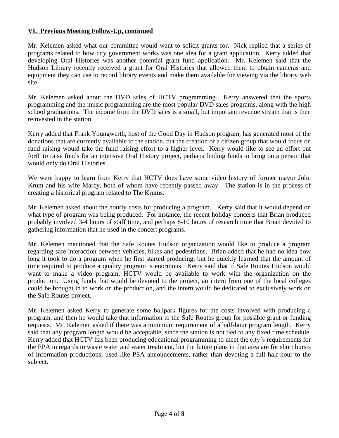## **VI. Previous Meeting Follow-Up, continued**

Mr. Kelemen asked what our committee would want to solicit grants for. Nick replied that a series of programs related to how city government works was one idea for a grant application. Kerry added that developing Oral Histories was another potential grant fund application. Mr. Kelemen said that the Hudson Library recently received a grant for Oral Histories that allowed them to obtain cameras and equipment they can use to record library events and make them available for viewing via the library web site.

Mr. Kelemen asked about the DVD sales of HCTV programming. Kerry answered that the sports programming and the music programming are the most popular DVD sales programs, along with the high school graduations. The income from the DVD sales is a small, but important revenue stream that is then reinvested in the station.

Kerry added that Frank Youngwerth, host of the Good Day in Hudson program, has generated most of the donations that are currently available to the station, but the creation of a citizen group that would focus on fund raising would take the fund raising effort to a higher level. Kerry would like to see an effort put forth to raise funds for an intensive Oral History project, perhaps finding funds to bring on a person that would only do Oral Histories.

We were happy to learn from Kerry that HCTV does have some video history of former mayor John Krum and his wife Marcy, both of whom have recently passed away. The station is in the process of creating a historical program related to The Krums.

Mr. Kelemen asked about the hourly costs for producing a program. Kerry said that it would depend on what type of program was being produced. For instance, the recent holiday concerts that Brian produced probably involved 3-4 hours of staff time, and perhaps 8-10 hours of research time that Brian devoted to gathering information that he used in the concert programs.

Mr. Kelemen mentioned that the Safe Routes Hudson organization would like to produce a program regarding safe interaction between vehicles, bikes and pedestrians. Brian added that he had no idea how long it took to do a program when he first started producing, but he quickly learned that the amount of time required to produce a quality program is enormous. Kerry said that if Safe Routes Hudson would want to make a video program, HCTV would be available to work with the organization on the production. Using funds that would be devoted to the project, an intern from one of the local colleges could be brought in to work on the production, and the intern would be dedicated to exclusively work on the Safe Routes project.

Mr. Kelemen asked Kerry to generate some ballpark figures for the costs involved with producing a program, and then he would take that information to the Safe Routes group for possible grant or funding requests. Mr. Kelemen asked if there was a minimum requirement of a half-hour program length. Kerry said that any program length would be acceptable, since the station is not tied to any fixed time schedule. Kerry added that HCTV has been producing educational programming to meet the city's requirements for the EPA in regards to waste water and water treatment, but the future plans in that area are for short bursts of information productions, used like PSA announcements, rather than devoting a full half-hour to the subject.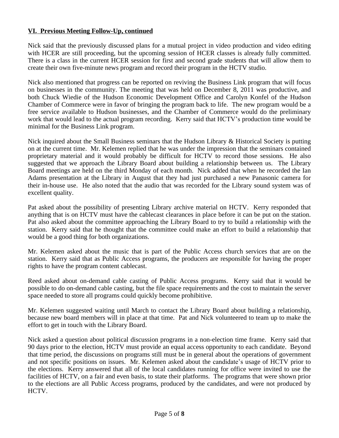# **VI. Previous Meeting Follow-Up, continued**

Nick said that the previously discussed plans for a mutual project in video production and video editing with HCER are still proceeding, but the upcoming session of HCER classes is already fully committed. There is a class in the current HCER session for first and second grade students that will allow them to create their own five-minute news program and record their program in the HCTV studio.

Nick also mentioned that progress can be reported on reviving the Business Link program that will focus on businesses in the community. The meeting that was held on December 8, 2011 was productive, and both Chuck Wiedie of the Hudson Economic Development Office and Carolyn Konfel of the Hudson Chamber of Commerce were in favor of bringing the program back to life. The new program would be a free service available to Hudson businesses, and the Chamber of Commerce would do the preliminary work that would lead to the actual program recording. Kerry said that HCTV's production time would be minimal for the Business Link program.

Nick inquired about the Small Business seminars that the Hudson Library & Historical Society is putting on at the current time. Mr. Kelemen replied that he was under the impression that the seminars contained proprietary material and it would probably be difficult for HCTV to record those sessions. He also suggested that we approach the Library Board about building a relationship between us. The Library Board meetings are held on the third Monday of each month. Nick added that when he recorded the Ian Adams presentation at the Library in August that they had just purchased a new Panasonic camera for their in-house use. He also noted that the audio that was recorded for the Library sound system was of excellent quality.

Pat asked about the possibility of presenting Library archive material on HCTV. Kerry responded that anything that is on HCTV must have the cablecast clearances in place before it can be put on the station. Pat also asked about the committee approaching the Library Board to try to build a relationship with the station. Kerry said that he thought that the committee could make an effort to build a relationship that would be a good thing for both organizations.

Mr. Kelemen asked about the music that is part of the Public Access church services that are on the station. Kerry said that as Public Access programs, the producers are responsible for having the proper rights to have the program content cablecast.

Reed asked about on-demand cable casting of Public Access programs. Kerry said that it would be possible to do on-demand cable casting, but the file space requirements and the cost to maintain the server space needed to store all programs could quickly become prohibitive.

Mr. Kelemen suggested waiting until March to contact the Library Board about building a relationship, because new board members will in place at that time. Pat and Nick volunteered to team up to make the effort to get in touch with the Library Board.

Nick asked a question about political discussion programs in a non-election time frame. Kerry said that 90 days prior to the election, HCTV must provide an equal access opportunity to each candidate. Beyond that time period, the discussions on programs still must be in general about the operations of government and not specific positions on issues. Mr. Kelemen asked about the candidate's usage of HCTV prior to the elections. Kerry answered that all of the local candidates running for office were invited to use the facilities of HCTV, on a fair and even basis, to state their platforms. The programs that were shown prior to the elections are all Public Access programs, produced by the candidates, and were not produced by HCTV.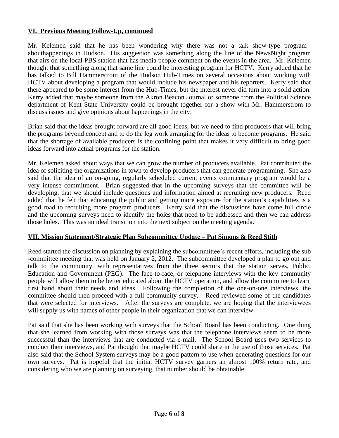# **VI. Previous Meeting Follow-Up, continued**

Mr. Kelemen said that he has been wondering why there was not a talk show-type program abouthappenings in Hudson. His suggestion was something along the line of the NewsNight program that airs on the local PBS station that has media people comment on the events in the area. Mr. Kelemen thought that something along that same line could be interesting program for HCTV. Kerry added that he has talked to Bill Hammerstrom of the Hudson Hub-Times on several occasions about working with HCTV about developing a program that would include his newspaper and his reporters. Kerry said that there appeared to be some interest from the Hub-Times, but the interest never did turn into a solid action. Kerry added that maybe someone from the Akron Beacon Journal or someone from the Political Science department of Kent State University could be brought together for a show with Mr. Hammerstrom to discuss issues and give opinions about happenings in the city.

Brian said that the ideas brought forward are all good ideas, but we need to find producers that will bring the programs beyond concept and to do the leg work arranging for the ideas to become programs. He said that the shortage of available producers is the confining point that makes it very difficult to bring good ideas forward into actual programs for the station.

Mr. Kelemen asked about ways that we can grow the number of producers available. Pat contributed the idea of soliciting the organizations in town to develop producers that can generate programming. She also said that the idea of an on-going, regularly scheduled current events commentary program would be a very intense commitment. Brian suggested that in the upcoming surveys that the committee will be developing, that we should include questions and information aimed at recruiting new producers. Reed added that he felt that educating the public and getting more exposure for the station's capabilities is a good road to recruiting more program producers. Kerry said that the discussions have come full circle and the upcoming surveys need to identify the holes that need to be addressed and then we can address those holes. This was an ideal transition into the next subject on the meeting agenda.

### **VII. Mission Statement/Strategic Plan Subcommittee Update – Pat Simons & Reed Stith**

Reed started the discussion on planning by explaining the subcommittee's recent efforts, including the sub -committee meeting that was held on January 2, 2012. The subcommittee developed a plan to go out and talk to the community, with representatives from the three sectors that the station serves, Public, Education and Government (PEG). The face-to-face, or telephone interviews with the key community people will allow them to be better educated about the HCTV operation, and allow the committee to learn first hand about their needs and ideas. Following the completion of the one-on-one interviews, the committee should then proceed with a full community survey. Reed reviewed some of the candidates that were selected for interviews. After the surveys are complete, we are hoping that the interviewees will supply us with names of other people in their organization that we can interview.

Pat said that she has been working with surveys that the School Board has been conducting. One thing that she learned from working with those surveys was that the telephone interviews seem to be more successful than the interviews that are conducted via e-mail. The School Board uses two services to conduct their interviews, and Pat thought that maybe HCTV could share in the use of those services. Pat also said that the School System surveys may be a good pattern to use when generating questions for our own surveys. Pat is hopeful that the initial HCTV survey garners an almost 100% return rate, and considering who we are planning on surveying, that number should be obtainable.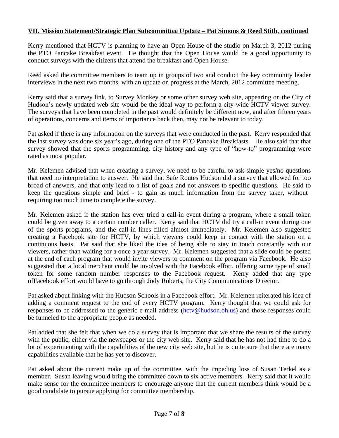# **VII. Mission Statement/Strategic Plan Subcommittee Update – Pat Simons & Reed Stith, continued**

Kerry mentioned that HCTV is planning to have an Open House of the studio on March 3, 2012 during the PTO Pancake Breakfast event. He thought that the Open House would be a good opportunity to conduct surveys with the citizens that attend the breakfast and Open House.

Reed asked the committee members to team up in groups of two and conduct the key community leader interviews in the next two months, with an update on progress at the March, 2012 committee meeting.

Kerry said that a survey link, to Survey Monkey or some other survey web site, appearing on the City of Hudson's newly updated web site would be the ideal way to perform a city-wide HCTV viewer survey. The surveys that have been completed in the past would definitely be different now, and after fifteen years of operations, concerns and items of importance back then, may not be relevant to today.

Pat asked if there is any information on the surveys that were conducted in the past. Kerry responded that the last survey was done six year's ago, during one of the PTO Pancake Breakfasts. He also said that that survey showed that the sports programming, city history and any type of "how-to" programming were rated as most popular.

Mr. Kelemen advised that when creating a survey, we need to be careful to ask simple yes/no questions that need no interpretation to answer. He said that Safe Routes Hudson did a survey that allowed for too broad of answers, and that only lead to a list of goals and not answers to specific questions. He said to keep the questions simple and brief - to gain as much information from the survey taker, without requiring too much time to complete the survey.

Mr. Kelemen asked if the station has ever tried a call-in event during a program, where a small token could be given away to a certain number caller. Kerry said that HCTV did try a call-in event during one of the sports programs, and the call-in lines filled almost immediately. Mr. Kelemen also suggested creating a Facebook site for HCTV, by which viewers could keep in contact with the station on a continuous basis. Pat said that she liked the idea of being able to stay in touch constantly with our viewers, rather than waiting for a once a year survey. Mr. Kelemen suggested that a slide could be posted at the end of each program that would invite viewers to comment on the program via Facebook. He also suggested that a local merchant could be involved with the Facebook effort, offering some type of small token for some random number responses to the Facebook request. Kerry added that any type ofFacebook effort would have to go through Jody Roberts, the City Communications Director.

Pat asked about linking with the Hudson Schools in a Facebook effort. Mr. Kelemen reiterated his idea of adding a comment request to the end of every HCTV program. Kerry thought that we could ask for responses to be addressed to the generic e-mail address ([hctv@hudson.oh.us\)](mailto:hctv@hudson.oh.us) and those responses could be funneled to the appropriate people as needed.

Pat added that she felt that when we do a survey that is important that we share the results of the survey with the public, either via the newspaper or the city web site. Kerry said that he has not had time to do a lot of experimenting with the capabilities of the new city web site, but he is quite sure that there are many capabilities available that he has yet to discover.

Pat asked about the current make up of the committee, with the impeding loss of Susan Terkel as a member. Susan leaving would bring the committee down to six active members. Kerry said that it would make sense for the committee members to encourage anyone that the current members think would be a good candidate to pursue applying for committee membership.